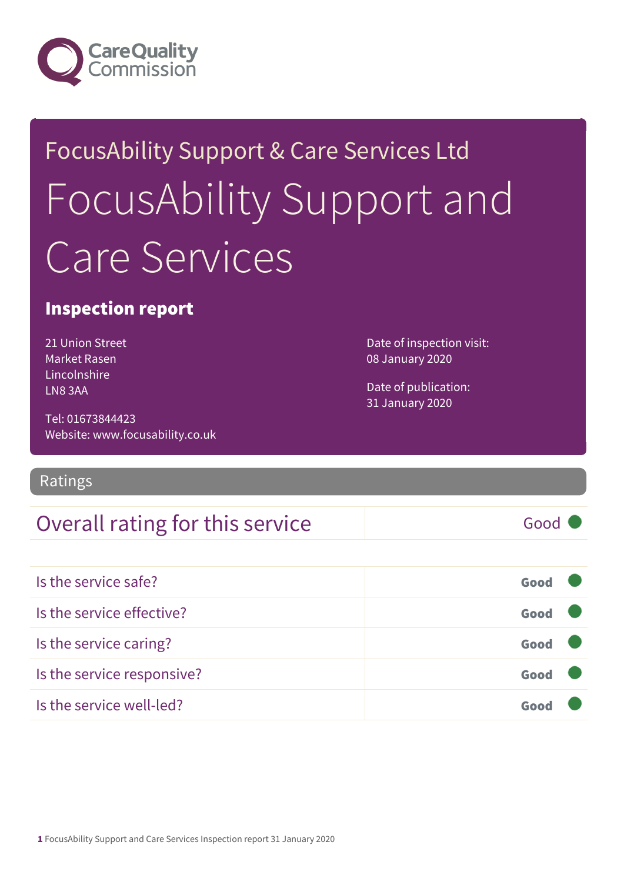

# FocusAbility Support & Care Services Ltd FocusAbility Support and Care Services

### Inspection report

21 Union Street Market Rasen Lincolnshire LN8 3AA

Date of inspection visit: 08 January 2020

Date of publication: 31 January 2020

Tel: 01673844423 Website: www.focusability.co.uk

### Ratings

### Overall rating for this service Fig. 600 Good

| Is the service safe?       | Good |  |
|----------------------------|------|--|
| Is the service effective?  | Good |  |
| Is the service caring?     | Good |  |
| Is the service responsive? | Good |  |
| Is the service well-led?   |      |  |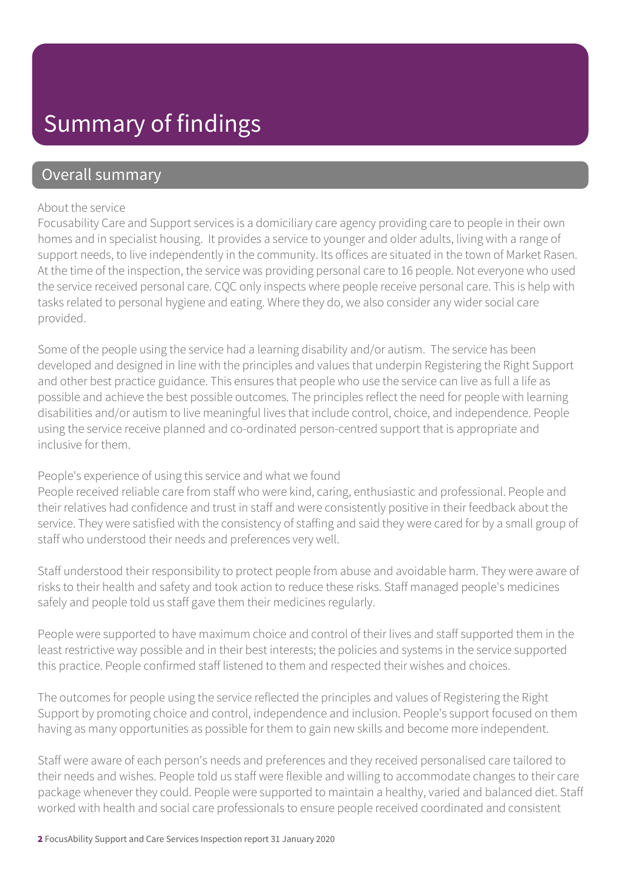### Summary of findings

### Overall summary

#### About the service

Focusability Care and Support services is a domiciliary care agency providing care to people in their own homes and in specialist housing. It provides a service to younger and older adults, living with a range of support needs, to live independently in the community. Its offices are situated in the town of Market Rasen. At the time of the inspection, the service was providing personal care to 16 people. Not everyone who used the service received personal care. CQC only inspects where people receive personal care. This is help with tasks related to personal hygiene and eating. Where they do, we also consider any wider social care provided.

Some of the people using the service had a learning disability and/or autism. The service has been developed and designed in line with the principles and values that underpin Registering the Right Support and other best practice guidance. This ensures that people who use the service can live as full a life as possible and achieve the best possible outcomes. The principles reflect the need for people with learning disabilities and/or autism to live meaningful lives that include control, choice, and independence. People using the service receive planned and co-ordinated person-centred support that is appropriate and inclusive for them.

#### People's experience of using this service and what we found

People received reliable care from staff who were kind, caring, enthusiastic and professional. People and their relatives had confidence and trust in staff and were consistently positive in their feedback about the service. They were satisfied with the consistency of staffing and said they were cared for by a small group of staff who understood their needs and preferences very well.

Staff understood their responsibility to protect people from abuse and avoidable harm. They were aware of risks to their health and safety and took action to reduce these risks. Staff managed people's medicines safely and people told us staff gave them their medicines regularly.

People were supported to have maximum choice and control of their lives and staff supported them in the least restrictive way possible and in their best interests; the policies and systems in the service supported this practice. People confirmed staff listened to them and respected their wishes and choices.

The outcomes for people using the service reflected the principles and values of Registering the Right Support by promoting choice and control, independence and inclusion. People's support focused on them having as many opportunities as possible for them to gain new skills and become more independent.

Staff were aware of each person's needs and preferences and they received personalised care tailored to their needs and wishes. People told us staff were flexible and willing to accommodate changes to their care package whenever they could. People were supported to maintain a healthy, varied and balanced diet. Staff worked with health and social care professionals to ensure people received coordinated and consistent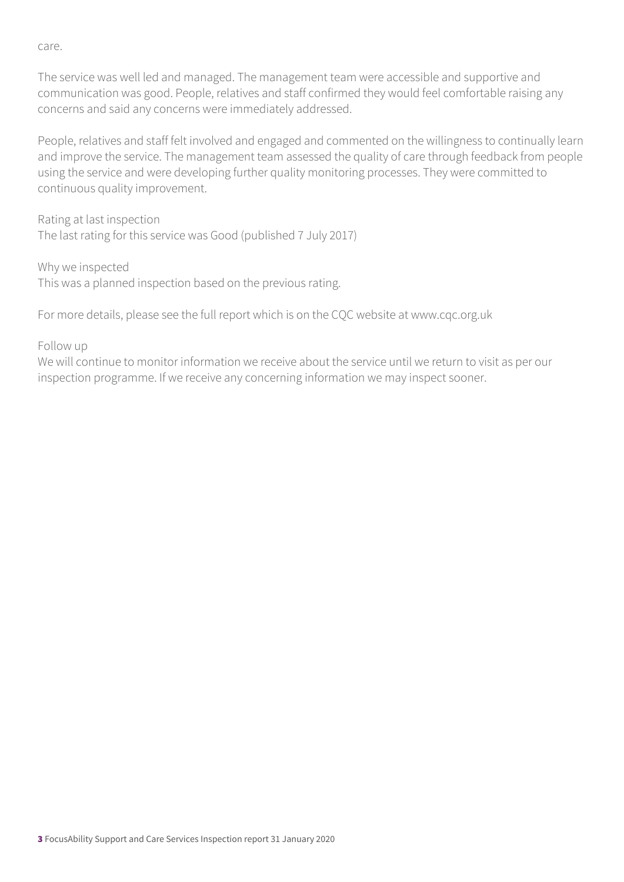care.

The service was well led and managed. The management team were accessible and supportive and communication was good. People, relatives and staff confirmed they would feel comfortable raising any concerns and said any concerns were immediately addressed.

People, relatives and staff felt involved and engaged and commented on the willingness to continually learn and improve the service. The management team assessed the quality of care through feedback from people using the service and were developing further quality monitoring processes. They were committed to continuous quality improvement.

Rating at last inspection The last rating for this service was Good (published 7 July 2017)

Why we inspected This was a planned inspection based on the previous rating.

For more details, please see the full report which is on the CQC website at www.cqc.org.uk

#### Follow up

We will continue to monitor information we receive about the service until we return to visit as per our inspection programme. If we receive any concerning information we may inspect sooner.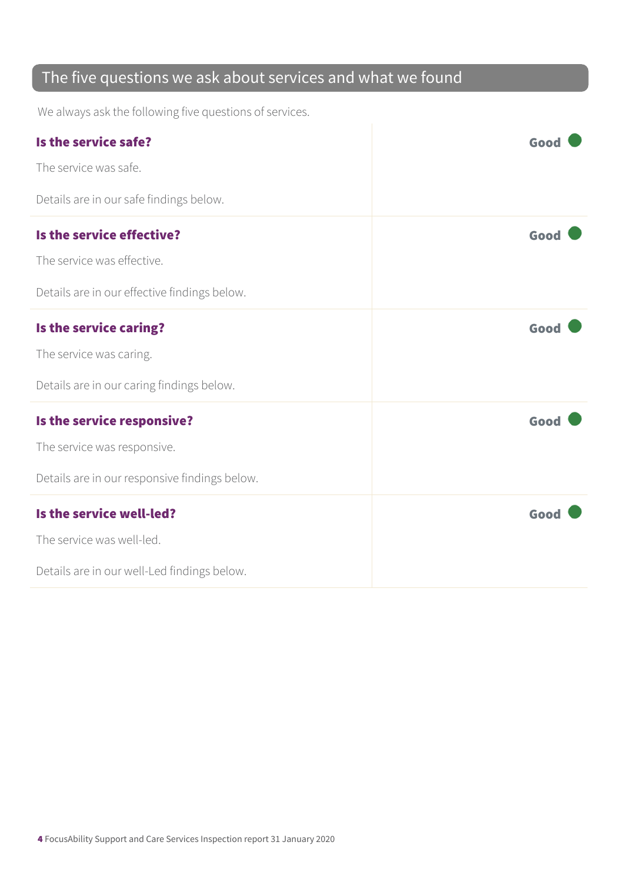### The five questions we ask about services and what we found

We always ask the following five questions of services.

| Is the service safe?                          | Good |
|-----------------------------------------------|------|
| The service was safe.                         |      |
| Details are in our safe findings below.       |      |
| Is the service effective?                     | Good |
| The service was effective.                    |      |
| Details are in our effective findings below.  |      |
| Is the service caring?                        | Good |
| The service was caring.                       |      |
| Details are in our caring findings below.     |      |
| Is the service responsive?                    | Good |
| The service was responsive.                   |      |
| Details are in our responsive findings below. |      |
| Is the service well-led?                      | Good |
| The service was well-led.                     |      |
| Details are in our well-Led findings below.   |      |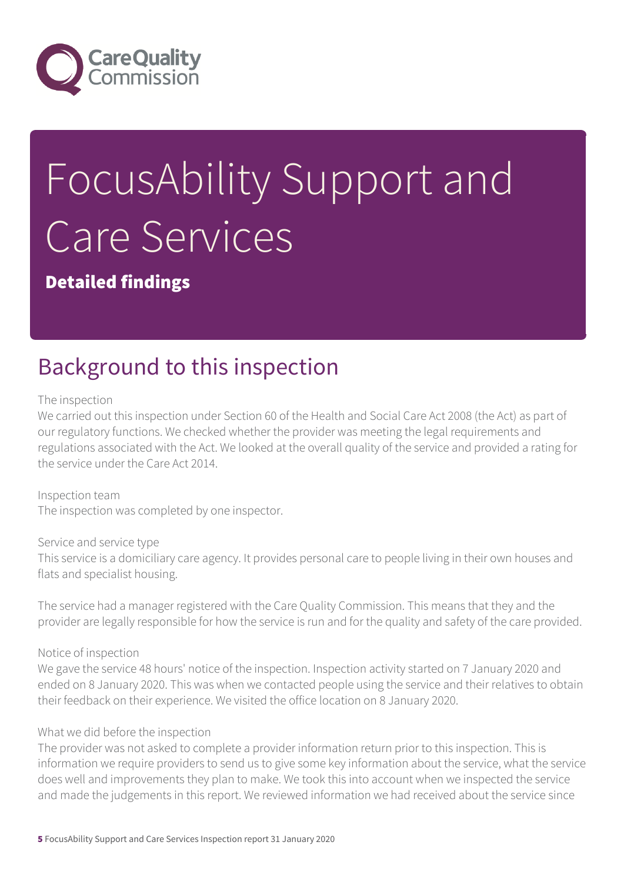

# FocusAbility Support and Care Services

Detailed findings

### Background to this inspection

The inspection

We carried out this inspection under Section 60 of the Health and Social Care Act 2008 (the Act) as part of our regulatory functions. We checked whether the provider was meeting the legal requirements and regulations associated with the Act. We looked at the overall quality of the service and provided a rating for the service under the Care Act 2014.

Inspection team The inspection was completed by one inspector.

Service and service type This service is a domiciliary care agency. It provides personal care to people living in their own houses and flats and specialist housing.

The service had a manager registered with the Care Quality Commission. This means that they and the provider are legally responsible for how the service is run and for the quality and safety of the care provided.

Notice of inspection

We gave the service 48 hours' notice of the inspection. Inspection activity started on 7 January 2020 and ended on 8 January 2020. This was when we contacted people using the service and their relatives to obtain their feedback on their experience. We visited the office location on 8 January 2020.

#### What we did before the inspection

The provider was not asked to complete a provider information return prior to this inspection. This is information we require providers to send us to give some key information about the service, what the service does well and improvements they plan to make. We took this into account when we inspected the service and made the judgements in this report. We reviewed information we had received about the service since

5 FocusAbility Support and Care Services Inspection report 31 January 2020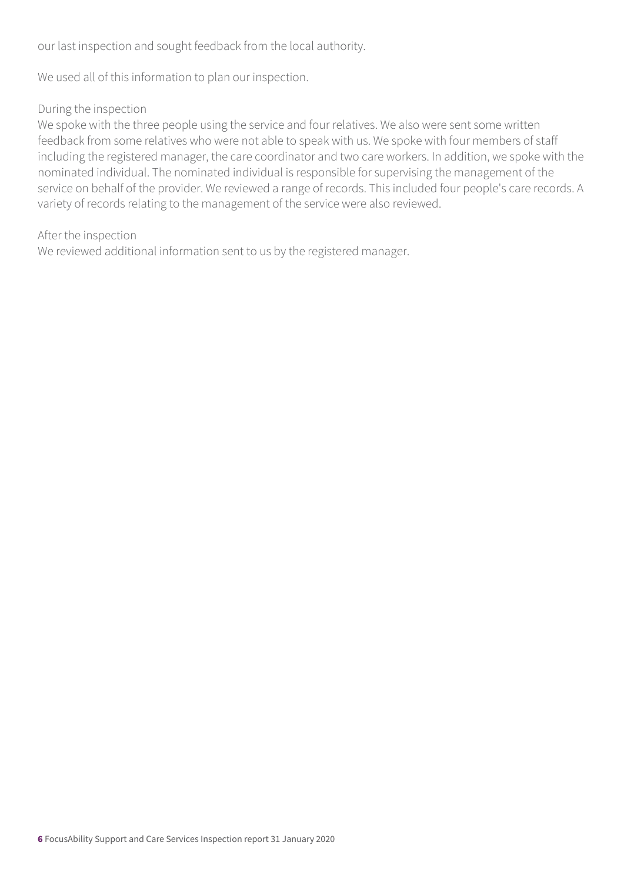our last inspection and sought feedback from the local authority.

We used all of this information to plan our inspection.

#### During the inspection

We spoke with the three people using the service and four relatives. We also were sent some written feedback from some relatives who were not able to speak with us. We spoke with four members of staff including the registered manager, the care coordinator and two care workers. In addition, we spoke with the nominated individual. The nominated individual is responsible for supervising the management of the service on behalf of the provider. We reviewed a range of records. This included four people's care records. A variety of records relating to the management of the service were also reviewed.

#### After the inspection

We reviewed additional information sent to us by the registered manager.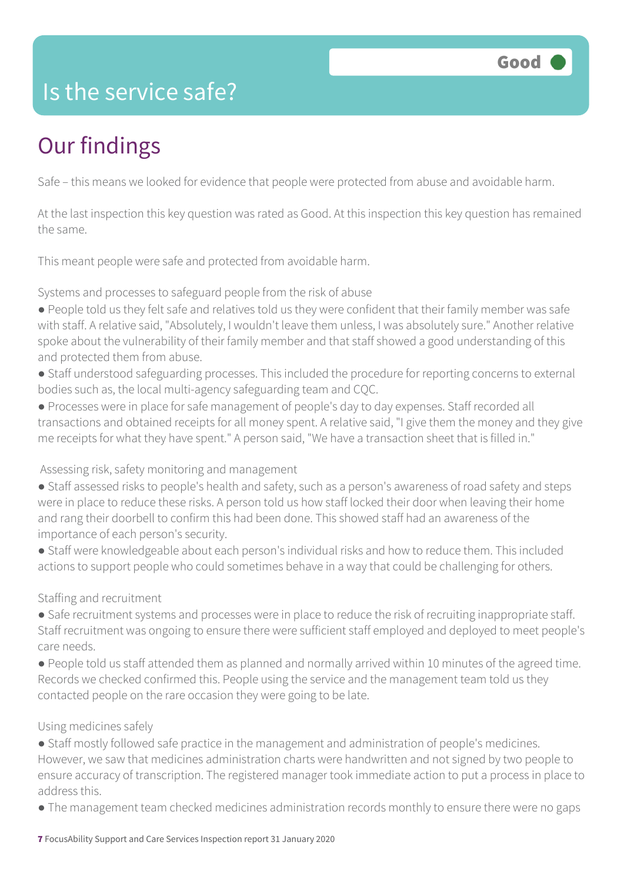### Is the service safe?

# Our findings

Safe – this means we looked for evidence that people were protected from abuse and avoidable harm.

At the last inspection this key question was rated as Good. At this inspection this key question has remained the same.

This meant people were safe and protected from avoidable harm.

Systems and processes to safeguard people from the risk of abuse

- People told us they felt safe and relatives told us they were confident that their family member was safe with staff. A relative said, "Absolutely, I wouldn't leave them unless, I was absolutely sure." Another relative spoke about the vulnerability of their family member and that staff showed a good understanding of this and protected them from abuse.
- Staff understood safeguarding processes. This included the procedure for reporting concerns to external bodies such as, the local multi-agency safeguarding team and CQC.
- Processes were in place for safe management of people's day to day expenses. Staff recorded all transactions and obtained receipts for all money spent. A relative said, "I give them the money and they give me receipts for what they have spent." A person said, "We have a transaction sheet that is filled in."

#### Assessing risk, safety monitoring and management

- Staff assessed risks to people's health and safety, such as a person's awareness of road safety and steps were in place to reduce these risks. A person told us how staff locked their door when leaving their home and rang their doorbell to confirm this had been done. This showed staff had an awareness of the importance of each person's security.
- Staff were knowledgeable about each person's individual risks and how to reduce them. This included actions to support people who could sometimes behave in a way that could be challenging for others.

Staffing and recruitment

- Safe recruitment systems and processes were in place to reduce the risk of recruiting inappropriate staff. Staff recruitment was ongoing to ensure there were sufficient staff employed and deployed to meet people's care needs.
- People told us staff attended them as planned and normally arrived within 10 minutes of the agreed time. Records we checked confirmed this. People using the service and the management team told us they contacted people on the rare occasion they were going to be late.

#### Using medicines safely

- Staff mostly followed safe practice in the management and administration of people's medicines. However, we saw that medicines administration charts were handwritten and not signed by two people to ensure accuracy of transcription. The registered manager took immediate action to put a process in place to address this.
- The management team checked medicines administration records monthly to ensure there were no gaps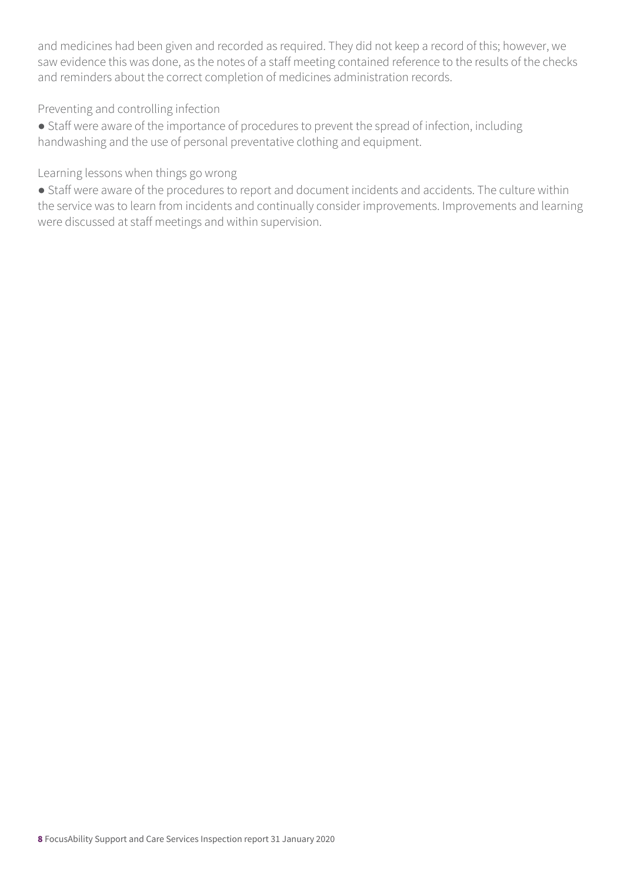and medicines had been given and recorded as required. They did not keep a record of this; however, we saw evidence this was done, as the notes of a staff meeting contained reference to the results of the checks and reminders about the correct completion of medicines administration records.

Preventing and controlling infection

● Staff were aware of the importance of procedures to prevent the spread of infection, including handwashing and the use of personal preventative clothing and equipment.

Learning lessons when things go wrong

● Staff were aware of the procedures to report and document incidents and accidents. The culture within the service was to learn from incidents and continually consider improvements. Improvements and learning were discussed at staff meetings and within supervision.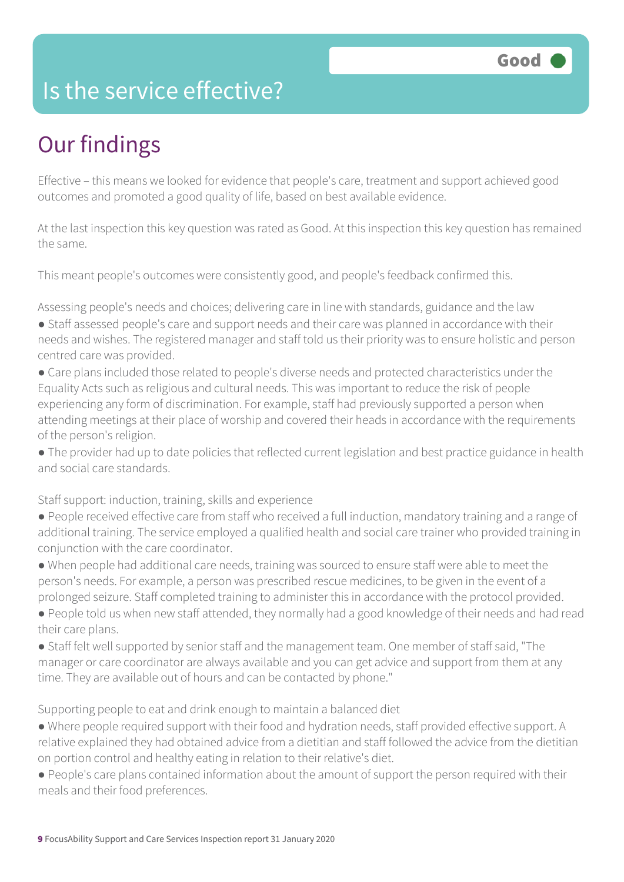### Is the service effective?

# Our findings

Effective – this means we looked for evidence that people's care, treatment and support achieved good outcomes and promoted a good quality of life, based on best available evidence.

At the last inspection this key question was rated as Good. At this inspection this key question has remained the same.

This meant people's outcomes were consistently good, and people's feedback confirmed this.

Assessing people's needs and choices; delivering care in line with standards, guidance and the law

- Staff assessed people's care and support needs and their care was planned in accordance with their needs and wishes. The registered manager and staff told us their priority was to ensure holistic and person centred care was provided.
- Care plans included those related to people's diverse needs and protected characteristics under the Equality Acts such as religious and cultural needs. This was important to reduce the risk of people experiencing any form of discrimination. For example, staff had previously supported a person when attending meetings at their place of worship and covered their heads in accordance with the requirements of the person's religion.
- The provider had up to date policies that reflected current legislation and best practice guidance in health and social care standards.

Staff support: induction, training, skills and experience

- People received effective care from staff who received a full induction, mandatory training and a range of additional training. The service employed a qualified health and social care trainer who provided training in conjunction with the care coordinator.
- When people had additional care needs, training was sourced to ensure staff were able to meet the person's needs. For example, a person was prescribed rescue medicines, to be given in the event of a prolonged seizure. Staff completed training to administer this in accordance with the protocol provided.
- People told us when new staff attended, they normally had a good knowledge of their needs and had read their care plans.
- Staff felt well supported by senior staff and the management team. One member of staff said, "The manager or care coordinator are always available and you can get advice and support from them at any time. They are available out of hours and can be contacted by phone."

Supporting people to eat and drink enough to maintain a balanced diet

- Where people required support with their food and hydration needs, staff provided effective support. A relative explained they had obtained advice from a dietitian and staff followed the advice from the dietitian on portion control and healthy eating in relation to their relative's diet.
- People's care plans contained information about the amount of support the person required with their meals and their food preferences.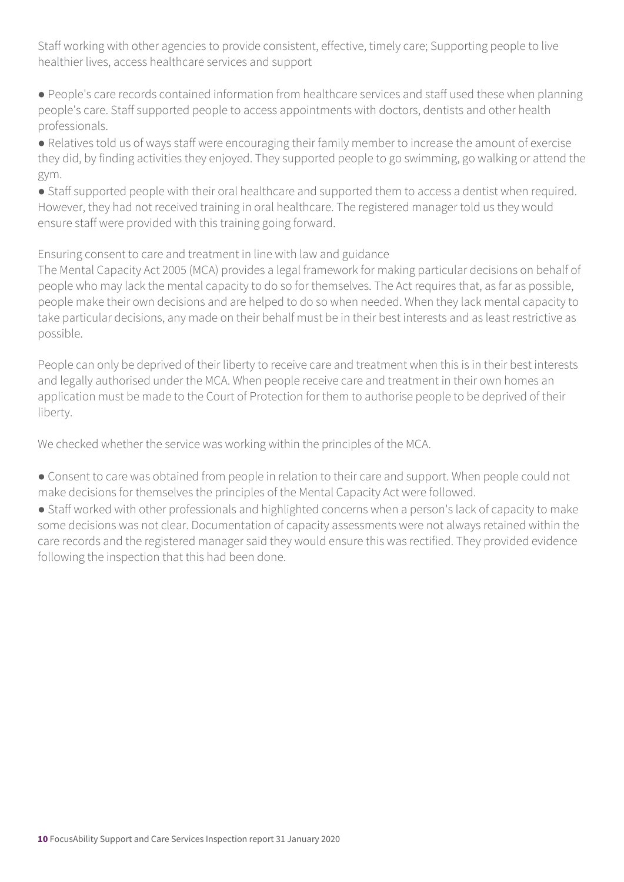Staff working with other agencies to provide consistent, effective, timely care; Supporting people to live healthier lives, access healthcare services and support

● People's care records contained information from healthcare services and staff used these when planning people's care. Staff supported people to access appointments with doctors, dentists and other health professionals.

● Relatives told us of ways staff were encouraging their family member to increase the amount of exercise they did, by finding activities they enjoyed. They supported people to go swimming, go walking or attend the gym.

• Staff supported people with their oral healthcare and supported them to access a dentist when required. However, they had not received training in oral healthcare. The registered manager told us they would ensure staff were provided with this training going forward.

Ensuring consent to care and treatment in line with law and guidance

The Mental Capacity Act 2005 (MCA) provides a legal framework for making particular decisions on behalf of people who may lack the mental capacity to do so for themselves. The Act requires that, as far as possible, people make their own decisions and are helped to do so when needed. When they lack mental capacity to take particular decisions, any made on their behalf must be in their best interests and as least restrictive as possible.

People can only be deprived of their liberty to receive care and treatment when this is in their best interests and legally authorised under the MCA. When people receive care and treatment in their own homes an application must be made to the Court of Protection for them to authorise people to be deprived of their liberty.

We checked whether the service was working within the principles of the MCA.

- Consent to care was obtained from people in relation to their care and support. When people could not make decisions for themselves the principles of the Mental Capacity Act were followed.
- Staff worked with other professionals and highlighted concerns when a person's lack of capacity to make some decisions was not clear. Documentation of capacity assessments were not always retained within the care records and the registered manager said they would ensure this was rectified. They provided evidence following the inspection that this had been done.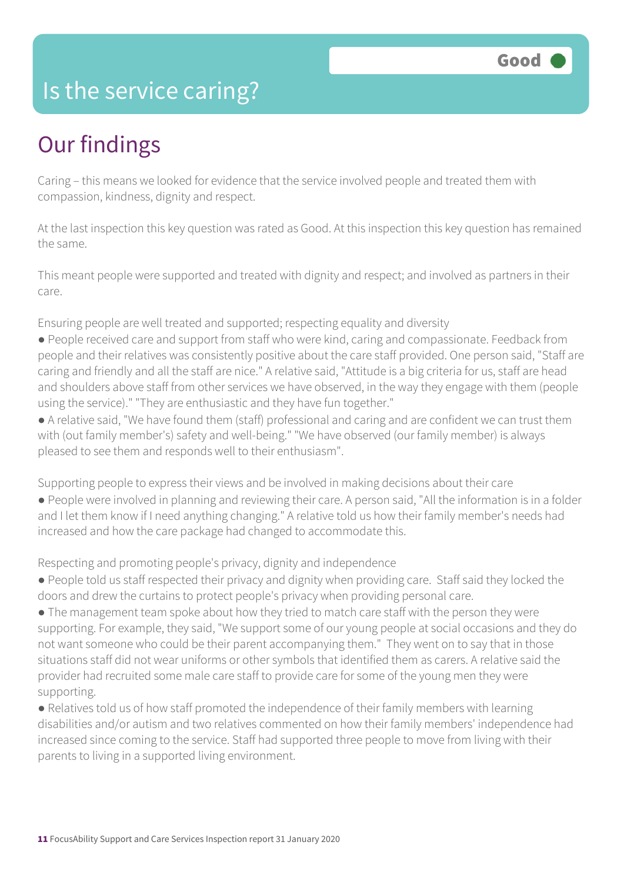### Is the service caring?

### Our findings

Caring – this means we looked for evidence that the service involved people and treated them with compassion, kindness, dignity and respect.

At the last inspection this key question was rated as Good. At this inspection this key question has remained the same.

This meant people were supported and treated with dignity and respect; and involved as partners in their care.

Ensuring people are well treated and supported; respecting equality and diversity

- People received care and support from staff who were kind, caring and compassionate. Feedback from people and their relatives was consistently positive about the care staff provided. One person said, "Staff are caring and friendly and all the staff are nice." A relative said, "Attitude is a big criteria for us, staff are head and shoulders above staff from other services we have observed, in the way they engage with them (people using the service)." "They are enthusiastic and they have fun together."
- A relative said, "We have found them (staff) professional and caring and are confident we can trust them with (out family member's) safety and well-being." "We have observed (our family member) is always pleased to see them and responds well to their enthusiasm".

Supporting people to express their views and be involved in making decisions about their care

● People were involved in planning and reviewing their care. A person said, "All the information is in a folder and I let them know if I need anything changing." A relative told us how their family member's needs had increased and how the care package had changed to accommodate this.

Respecting and promoting people's privacy, dignity and independence

- People told us staff respected their privacy and dignity when providing care. Staff said they locked the doors and drew the curtains to protect people's privacy when providing personal care.
- The management team spoke about how they tried to match care staff with the person they were supporting. For example, they said, "We support some of our young people at social occasions and they do not want someone who could be their parent accompanying them." They went on to say that in those situations staff did not wear uniforms or other symbols that identified them as carers. A relative said the provider had recruited some male care staff to provide care for some of the young men they were supporting.
- Relatives told us of how staff promoted the independence of their family members with learning disabilities and/or autism and two relatives commented on how their family members' independence had increased since coming to the service. Staff had supported three people to move from living with their parents to living in a supported living environment.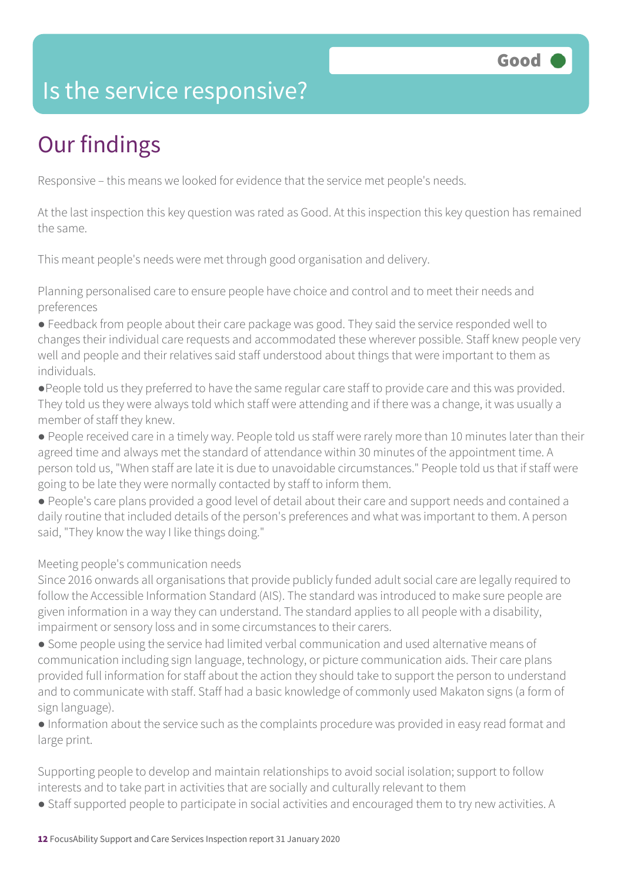### Is the service responsive?

# Our findings

Responsive – this means we looked for evidence that the service met people's needs.

At the last inspection this key question was rated as Good. At this inspection this key question has remained the same.

This meant people's needs were met through good organisation and delivery.

Planning personalised care to ensure people have choice and control and to meet their needs and preferences

● Feedback from people about their care package was good. They said the service responded well to changes their individual care requests and accommodated these wherever possible. Staff knew people very well and people and their relatives said staff understood about things that were important to them as individuals.

●People told us they preferred to have the same regular care staff to provide care and this was provided. They told us they were always told which staff were attending and if there was a change, it was usually a member of staff they knew.

● People received care in a timely way. People told us staff were rarely more than 10 minutes later than their agreed time and always met the standard of attendance within 30 minutes of the appointment time. A person told us, "When staff are late it is due to unavoidable circumstances." People told us that if staff were going to be late they were normally contacted by staff to inform them.

● People's care plans provided a good level of detail about their care and support needs and contained a daily routine that included details of the person's preferences and what was important to them. A person said, "They know the way I like things doing."

#### Meeting people's communication needs

Since 2016 onwards all organisations that provide publicly funded adult social care are legally required to follow the Accessible Information Standard (AIS). The standard was introduced to make sure people are given information in a way they can understand. The standard applies to all people with a disability, impairment or sensory loss and in some circumstances to their carers.

● Some people using the service had limited verbal communication and used alternative means of communication including sign language, technology, or picture communication aids. Their care plans provided full information for staff about the action they should take to support the person to understand and to communicate with staff. Staff had a basic knowledge of commonly used Makaton signs (a form of sign language).

● Information about the service such as the complaints procedure was provided in easy read format and large print.

Supporting people to develop and maintain relationships to avoid social isolation; support to follow interests and to take part in activities that are socially and culturally relevant to them

● Staff supported people to participate in social activities and encouraged them to try new activities. A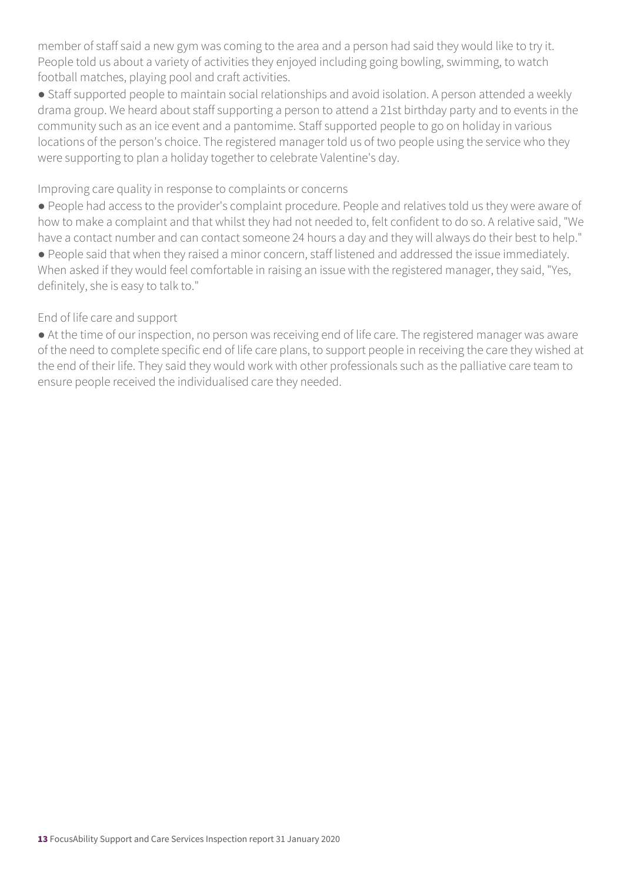member of staff said a new gym was coming to the area and a person had said they would like to try it. People told us about a variety of activities they enjoyed including going bowling, swimming, to watch football matches, playing pool and craft activities.

● Staff supported people to maintain social relationships and avoid isolation. A person attended a weekly drama group. We heard about staff supporting a person to attend a 21st birthday party and to events in the community such as an ice event and a pantomime. Staff supported people to go on holiday in various locations of the person's choice. The registered manager told us of two people using the service who they were supporting to plan a holiday together to celebrate Valentine's day.

#### Improving care quality in response to complaints or concerns

● People had access to the provider's complaint procedure. People and relatives told us they were aware of how to make a complaint and that whilst they had not needed to, felt confident to do so. A relative said, "We have a contact number and can contact someone 24 hours a day and they will always do their best to help." ● People said that when they raised a minor concern, staff listened and addressed the issue immediately. When asked if they would feel comfortable in raising an issue with the registered manager, they said, "Yes, definitely, she is easy to talk to."

#### End of life care and support

● At the time of our inspection, no person was receiving end of life care. The registered manager was aware of the need to complete specific end of life care plans, to support people in receiving the care they wished at the end of their life. They said they would work with other professionals such as the palliative care team to ensure people received the individualised care they needed.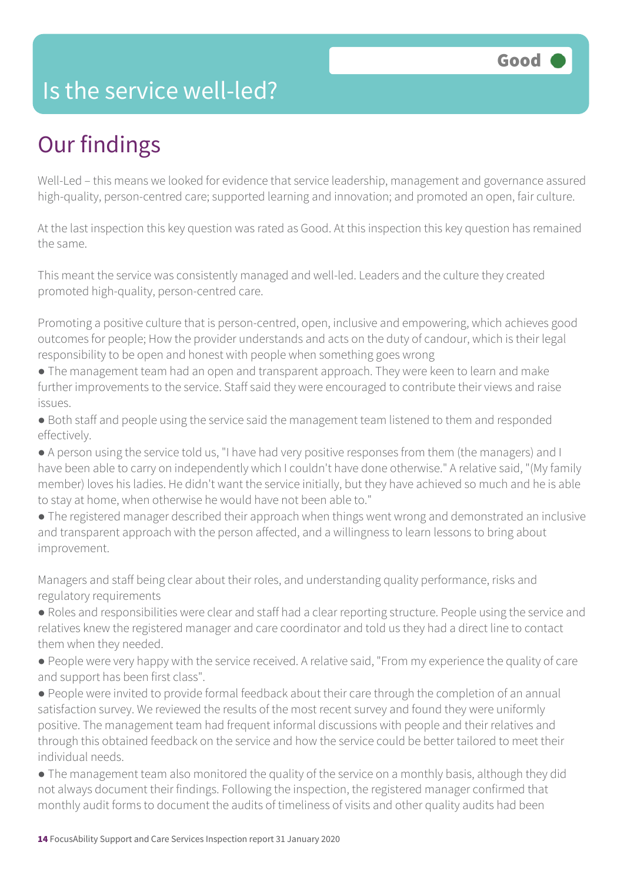### Is the service well-led?

## Our findings

Well-Led – this means we looked for evidence that service leadership, management and governance assured high-quality, person-centred care; supported learning and innovation; and promoted an open, fair culture.

At the last inspection this key question was rated as Good. At this inspection this key question has remained the same.

This meant the service was consistently managed and well-led. Leaders and the culture they created promoted high-quality, person-centred care.

Promoting a positive culture that is person-centred, open, inclusive and empowering, which achieves good outcomes for people; How the provider understands and acts on the duty of candour, which is their legal responsibility to be open and honest with people when something goes wrong

- The management team had an open and transparent approach. They were keen to learn and make further improvements to the service. Staff said they were encouraged to contribute their views and raise issues.
- Both staff and people using the service said the management team listened to them and responded effectively.
- A person using the service told us, "I have had very positive responses from them (the managers) and I have been able to carry on independently which I couldn't have done otherwise." A relative said, "(My family member) loves his ladies. He didn't want the service initially, but they have achieved so much and he is able to stay at home, when otherwise he would have not been able to."
- The registered manager described their approach when things went wrong and demonstrated an inclusive and transparent approach with the person affected, and a willingness to learn lessons to bring about improvement.

Managers and staff being clear about their roles, and understanding quality performance, risks and regulatory requirements

- Roles and responsibilities were clear and staff had a clear reporting structure. People using the service and relatives knew the registered manager and care coordinator and told us they had a direct line to contact them when they needed.
- People were very happy with the service received. A relative said, "From my experience the quality of care and support has been first class".
- People were invited to provide formal feedback about their care through the completion of an annual satisfaction survey. We reviewed the results of the most recent survey and found they were uniformly positive. The management team had frequent informal discussions with people and their relatives and through this obtained feedback on the service and how the service could be better tailored to meet their individual needs.
- The management team also monitored the quality of the service on a monthly basis, although they did not always document their findings. Following the inspection, the registered manager confirmed that monthly audit forms to document the audits of timeliness of visits and other quality audits had been